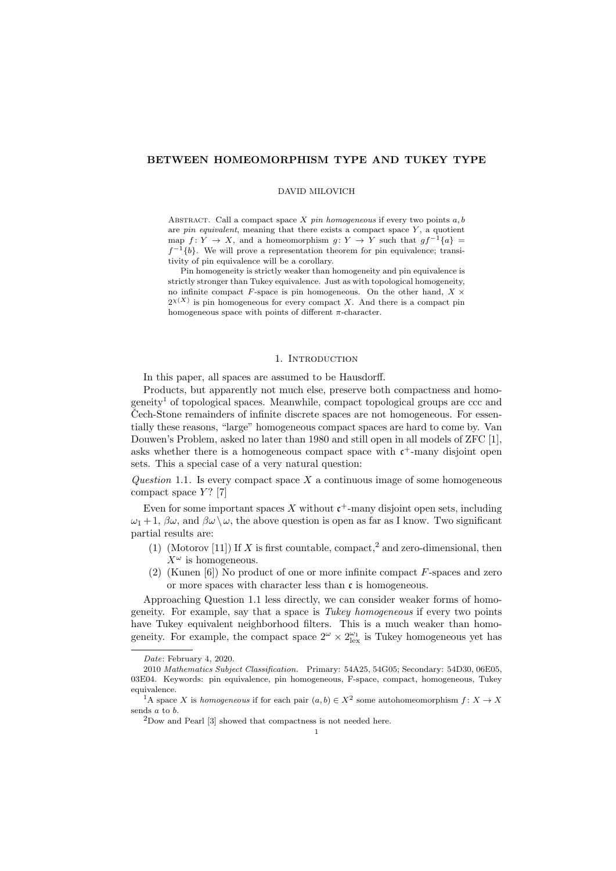# BETWEEN HOMEOMORPHISM TYPE AND TUKEY TYPE

#### DAVID MILOVICH

ABSTRACT. Call a compact space  $X$  pin homogeneous if every two points  $a, b$ are *pin equivalent*, meaning that there exists a compact space  $Y$ , a quotient map  $f: Y \to X$ , and a homeomorphism  $g: Y \to Y$  such that  $gf^{-1}{a} =$  $f^{-1}{b}$ . We will prove a representation theorem for pin equivalence; transitivity of pin equivalence will be a corollary.

Pin homogeneity is strictly weaker than homogeneity and pin equivalence is strictly stronger than Tukey equivalence. Just as with topological homogeneity, no infinite compact F-space is pin homogeneous. On the other hand,  $X \times$  $2^{\chi(X)}$  is pin homogeneous for every compact X. And there is a compact pin homogeneous space with points of different  $\pi$ -character.

### 1. INTRODUCTION

In this paper, all spaces are assumed to be Hausdorff.

Products, but apparently not much else, preserve both compactness and homogeneity<sup>1</sup> of topological spaces. Meanwhile, compact topological groups are ccc and Cech-Stone remainders of infinite discrete spaces are not homogeneous. For essentially these reasons, "large" homogeneous compact spaces are hard to come by. Van Douwen's Problem, asked no later than 1980 and still open in all models of ZFC [1], asks whether there is a homogeneous compact space with  $c^+$ -many disjoint open sets. This a special case of a very natural question:

Question 1.1. Is every compact space X a continuous image of some homogeneous compact space  $Y$ ? [7]

Even for some important spaces X without  $\mathfrak{c}^+$ -many disjoint open sets, including  $\omega_1 + 1$ ,  $\beta \omega$ , and  $\beta \omega \setminus \omega$ , the above question is open as far as I know. Two significant partial results are:

- (1) (Motorov [11]) If X is first countable, compact,<sup>2</sup> and zero-dimensional, then  $X^{\omega}$  is homogeneous.
- (2) (Kunen [6]) No product of one or more infinite compact F-spaces and zero or more spaces with character less than  $\mathfrak c$  is homogeneous.

Approaching Question 1.1 less directly, we can consider weaker forms of homogeneity. For example, say that a space is Tukey homogeneous if every two points have Tukey equivalent neighborhood filters. This is a much weaker than homogeneity. For example, the compact space  $2^{\omega} \times 2^{\omega_1}_{\text{lex}}$  is Tukey homogeneous yet has

Date: February 4, 2020.

<sup>2010</sup> Mathematics Subject Classification. Primary: 54A25, 54G05; Secondary: 54D30, 06E05, 03E04. Keywords: pin equivalence, pin homogeneous, F-space, compact, homogeneous, Tukey equivalence.

<sup>&</sup>lt;sup>1</sup>A space X is homogeneous if for each pair  $(a, b) \in X^2$  some autohomeomorphism  $f: X \to X$ sends a to b.

 $^{2}$  Dow and Pearl  $\left[ 3\right]$  showed that compactness is not needed here.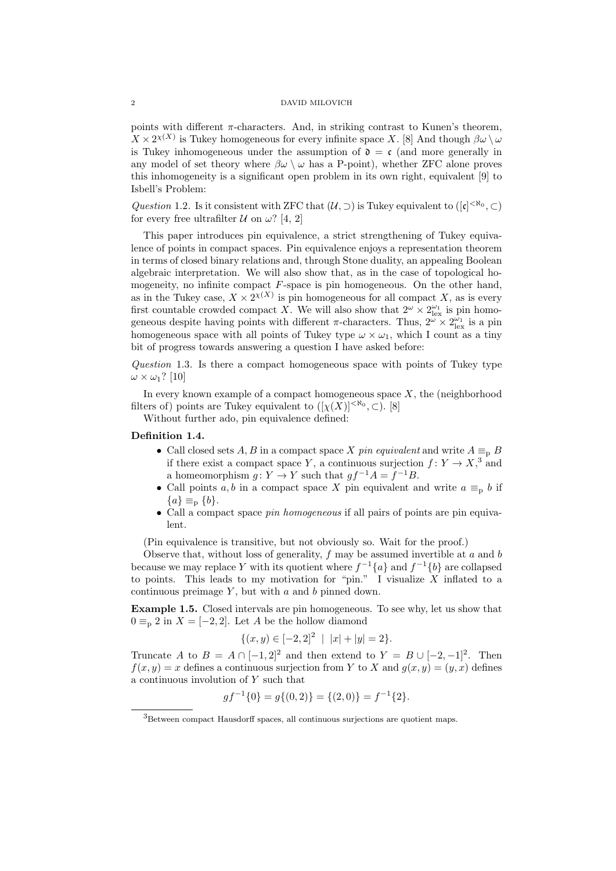points with different  $\pi$ -characters. And, in striking contrast to Kunen's theorem,  $X \times 2^{\chi(X)}$  is Tukey homogeneous for every infinite space X. [8] And though  $\beta \omega \setminus \omega$ is Tukey inhomogeneous under the assumption of  $\mathfrak{d} = \mathfrak{c}$  (and more generally in any model of set theory where  $\beta\omega \setminus \omega$  has a P-point), whether ZFC alone proves this inhomogeneity is a significant open problem in its own right, equivalent [9] to Isbell's Problem:

Question 1.2. Is it consistent with ZFC that  $(\mathcal{U}, \supset)$  is Tukey equivalent to  $([c]^{< \aleph_0}, \supset)$ for every free ultrafilter  $U$  on  $\omega$ ? [4, 2]

This paper introduces pin equivalence, a strict strengthening of Tukey equivalence of points in compact spaces. Pin equivalence enjoys a representation theorem in terms of closed binary relations and, through Stone duality, an appealing Boolean algebraic interpretation. We will also show that, as in the case of topological homogeneity, no infinite compact  $F$ -space is pin homogeneous. On the other hand, as in the Tukey case,  $X \times 2^{X(X)}$  is pin homogeneous for all compact X, as is every first countable crowded compact X. We will also show that  $2^{\omega} \times 2^{\omega_1}_{\text{lex}}$  is pin homogeneous despite having points with different  $\pi$ -characters. Thus,  $2^{\omega} \times 2^{\omega_1}_{\text{lex}}$  is a pin homogeneous space with all points of Tukey type  $\omega \times \omega_1$ , which I count as a tiny bit of progress towards answering a question I have asked before:

Question 1.3. Is there a compact homogeneous space with points of Tukey type  $\omega \times \omega_1$ ? [10]

In every known example of a compact homogeneous space  $X$ , the (neighborhood filters of) points are Tukey equivalent to  $([\chi(X)]^{<\aleph_0}, \subset)$ . [8]

Without further ado, pin equivalence defined:

# Definition 1.4.

- Call closed sets A, B in a compact space X pin equivalent and write  $A \equiv_{p} B$ if there exist a compact space Y, a continuous surjection  $f: Y \to X$ ,  $3$  and a homeomorphism  $g: Y \to Y$  such that  $gf^{-1}A = f^{-1}B$ .
- Call points a, b in a compact space X pin equivalent and write  $a \equiv_p b$  if  ${a} \equiv_{\text{p}} {b}.$
- Call a compact space pin homogeneous if all pairs of points are pin equivalent.

(Pin equivalence is transitive, but not obviously so. Wait for the proof.)

Observe that, without loss of generality,  $f$  may be assumed invertible at  $a$  and  $b$ because we may replace Y with its quotient where  $f^{-1}\{a\}$  and  $f^{-1}\{b\}$  are collapsed to points. This leads to my motivation for "pin." I visualize  $X$  inflated to a continuous preimage  $Y$ , but with  $a$  and  $b$  pinned down.

Example 1.5. Closed intervals are pin homogeneous. To see why, let us show that  $0 \equiv_{\text{p}} 2$  in  $X = [-2, 2]$ . Let A be the hollow diamond

$$
\{(x,y) \in [-2,2]^2 \mid |x|+|y|=2\}.
$$

Truncate A to  $B = A \cap [-1,2]^2$  and then extend to  $Y = B \cup [-2,-1]^2$ . Then  $f(x, y) = x$  defines a continuous surjection from Y to X and  $q(x, y) = (y, x)$  defines a continuous involution of Y such that

$$
gf^{-1}{0} = g{(0,2)} = {(2,0)} = f^{-1}{2}.
$$

<sup>3</sup>Between compact Hausdorff spaces, all continuous surjections are quotient maps.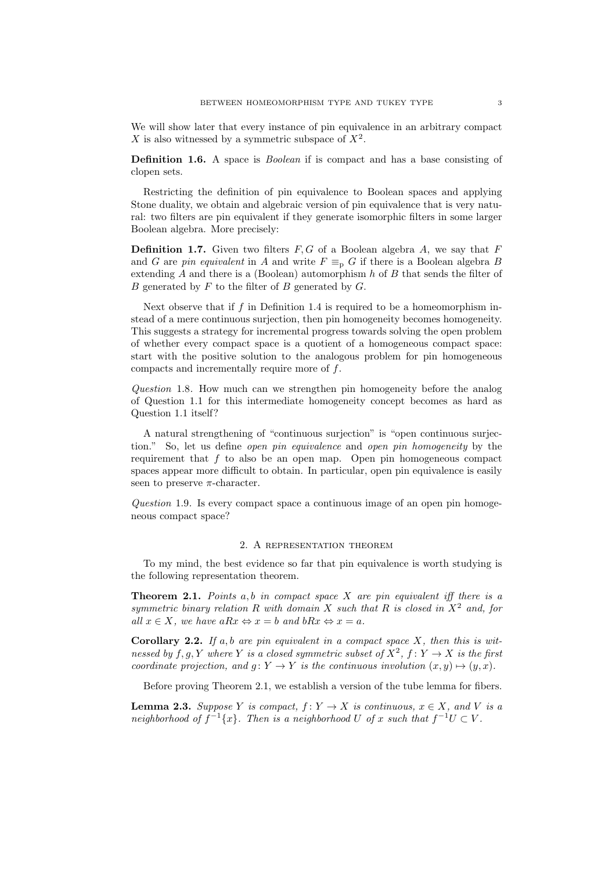We will show later that every instance of pin equivalence in an arbitrary compact X is also witnessed by a symmetric subspace of  $X^2$ .

Definition 1.6. A space is *Boolean* if is compact and has a base consisting of clopen sets.

Restricting the definition of pin equivalence to Boolean spaces and applying Stone duality, we obtain and algebraic version of pin equivalence that is very natural: two filters are pin equivalent if they generate isomorphic filters in some larger Boolean algebra. More precisely:

**Definition 1.7.** Given two filters  $F, G$  of a Boolean algebra A, we say that F and G are pin equivalent in A and write  $F \equiv_{\text{p}} G$  if there is a Boolean algebra B extending  $A$  and there is a (Boolean) automorphism  $h$  of  $B$  that sends the filter of B generated by  $F$  to the filter of  $B$  generated by  $G$ .

Next observe that if  $f$  in Definition 1.4 is required to be a homeomorphism instead of a mere continuous surjection, then pin homogeneity becomes homogeneity. This suggests a strategy for incremental progress towards solving the open problem of whether every compact space is a quotient of a homogeneous compact space: start with the positive solution to the analogous problem for pin homogeneous compacts and incrementally require more of f.

Question 1.8. How much can we strengthen pin homogeneity before the analog of Question 1.1 for this intermediate homogeneity concept becomes as hard as Question 1.1 itself?

A natural strengthening of "continuous surjection" is "open continuous surjection." So, let us define open pin equivalence and open pin homogeneity by the requirement that  $f$  to also be an open map. Open pin homogeneous compact spaces appear more difficult to obtain. In particular, open pin equivalence is easily seen to preserve  $\pi$ -character.

Question 1.9. Is every compact space a continuous image of an open pin homogeneous compact space?

#### 2. A representation theorem

To my mind, the best evidence so far that pin equivalence is worth studying is the following representation theorem.

**Theorem 2.1.** Points  $a, b$  in compact space  $X$  are pin equivalent iff there is a symmetric binary relation R with domain X such that R is closed in  $X^2$  and, for all  $x \in X$ , we have  $aRx \Leftrightarrow x = b$  and  $bRx \Leftrightarrow x = a$ .

**Corollary 2.2.** If a, b are pin equivalent in a compact space  $X$ , then this is witnessed by  $f, g, Y$  where Y is a closed symmetric subset of  $X^2$ ,  $f: Y \to X$  is the first coordinate projection, and  $g: Y \to Y$  is the continuous involution  $(x, y) \mapsto (y, x)$ .

Before proving Theorem 2.1, we establish a version of the tube lemma for fibers.

**Lemma 2.3.** Suppose Y is compact,  $f: Y \to X$  is continuous,  $x \in X$ , and V is a neighborhood of  $f^{-1}\lbrace x \rbrace$ . Then is a neighborhood U of x such that  $f^{-1}U \subset V$ .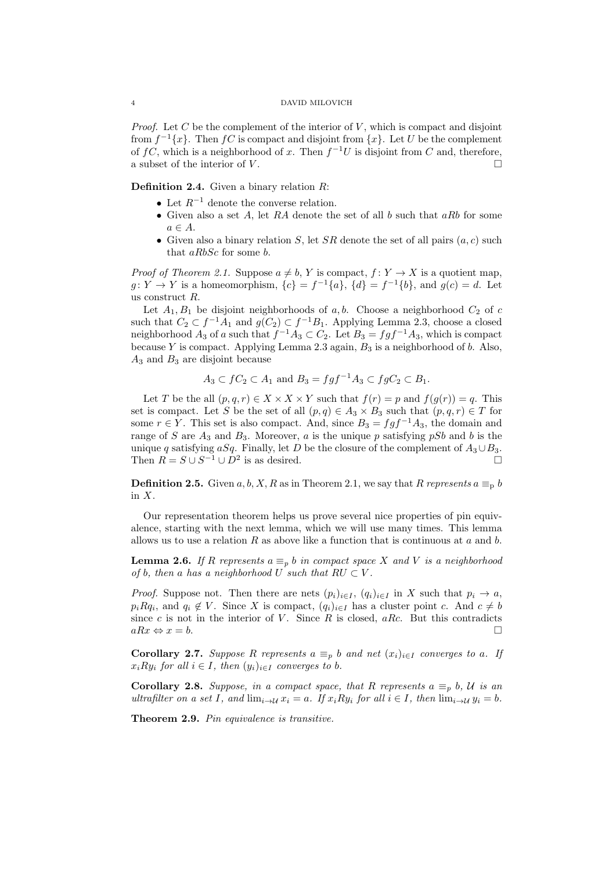*Proof.* Let C be the complement of the interior of V, which is compact and disjoint from  $f^{-1}\lbrace x \rbrace$ . Then  $fC$  is compact and disjoint from  $\lbrace x \rbrace$ . Let U be the complement of  $fC$ , which is a neighborhood of x. Then  $f^{-1}U$  is disjoint from C and, therefore, a subset of the interior of  $V$ .

**Definition 2.4.** Given a binary relation  $R$ :

- Let  $R^{-1}$  denote the converse relation.
- Given also a set A, let RA denote the set of all b such that  $aRb$  for some  $a \in A$ .
- Given also a binary relation S, let SR denote the set of all pairs  $(a, c)$  such that aRbSc for some b.

*Proof of Theorem 2.1.* Suppose  $a \neq b$ , Y is compact,  $f : Y \to X$  is a quotient map,  $g: Y \to Y$  is a homeomorphism,  $\{c\} = f^{-1}\{a\}$ ,  $\{d\} = f^{-1}\{b\}$ , and  $g(c) = d$ . Let us construct R.

Let  $A_1, B_1$  be disjoint neighborhoods of a, b. Choose a neighborhood  $C_2$  of c such that  $C_2 \subset f^{-1}A_1$  and  $g(C_2) \subset f^{-1}B_1$ . Applying Lemma 2.3, choose a closed neighborhood  $A_3$  of a such that  $f^{-1}A_3 \subset C_2$ . Let  $B_3 = fgf^{-1}A_3$ , which is compact because Y is compact. Applying Lemma 2.3 again,  $B_3$  is a neighborhood of b. Also,  $A_3$  and  $B_3$  are disjoint because

$$
A_3 \subset fC_2 \subset A_1 \text{ and } B_3 = fgf^{-1}A_3 \subset fgC_2 \subset B_1.
$$

Let T be the all  $(p, q, r) \in X \times X \times Y$  such that  $f(r) = p$  and  $f(g(r)) = q$ . This set is compact. Let S be the set of all  $(p,q) \in A_3 \times B_3$  such that  $(p,q,r) \in T$  for some  $r \in Y$ . This set is also compact. And, since  $B_3 = fgf^{-1}A_3$ , the domain and range of S are  $A_3$  and  $B_3$ . Moreover, a is the unique p satisfying pSb and b is the unique q satisfying aSq. Finally, let D be the closure of the complement of  $A_3 \cup B_3$ . Then  $R = S \cup S^{-1} \cup D^2$  is as desired.

**Definition 2.5.** Given a, b, X, R as in Theorem 2.1, we say that R represents  $a \equiv_b b$ in X.

Our representation theorem helps us prove several nice properties of pin equivalence, starting with the next lemma, which we will use many times. This lemma allows us to use a relation R as above like a function that is continuous at a and b.

**Lemma 2.6.** If R represents  $a \equiv_p b$  in compact space X and V is a neighborhood of b, then a has a neighborhood U such that  $RU \subset V$ .

*Proof.* Suppose not. Then there are nets  $(p_i)_{i\in I}$ ,  $(q_i)_{i\in I}$  in X such that  $p_i \to a$ ,  $p_i R q_i$ , and  $q_i \notin V$ . Since X is compact,  $(q_i)_{i \in I}$  has a cluster point c. And  $c \neq b$ since c is not in the interior of V. Since R is closed, aRc. But this contradicts  $aRx \Leftrightarrow x = b.$ 

Corollary 2.7. Suppose R represents  $a \equiv_p b$  and net  $(x_i)_{i \in I}$  converges to a. If  $x_iRy_i$  for all  $i \in I$ , then  $(y_i)_{i \in I}$  converges to b.

Corollary 2.8. Suppose, in a compact space, that R represents  $a \equiv_p b$ , U is an ultrafilter on a set I, and  $\lim_{i\to U} x_i = a$ . If  $x_i R y_i$  for all  $i \in I$ , then  $\lim_{i\to U} y_i = b$ .

Theorem 2.9. Pin equivalence is transitive.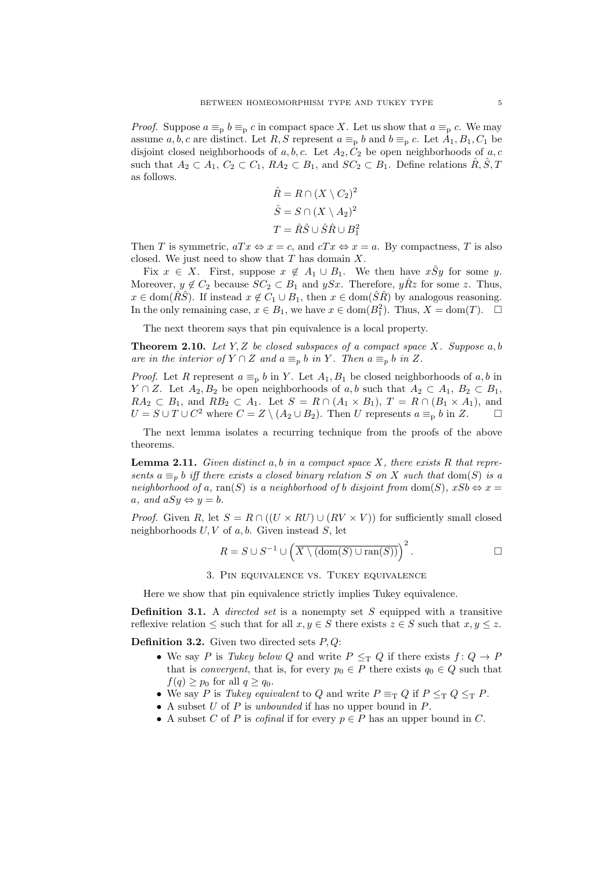*Proof.* Suppose  $a \equiv_p b \equiv_p c$  in compact space X. Let us show that  $a \equiv_p c$ . We may assume a, b, c are distinct. Let R, S represent  $a \equiv_p b$  and  $b \equiv_p c$ . Let  $A_1, B_1, C_1$  be disjoint closed neighborhoods of a, b, c. Let  $A_2, C_2$  be open neighborhoods of a, c such that  $A_2 \subset A_1$ ,  $C_2 \subset C_1$ ,  $RA_2 \subset B_1$ , and  $SC_2 \subset B_1$ . Define relations  $\hat{R}, \hat{S}, T$ as follows.

$$
\hat{R} = R \cap (X \setminus C_2)^2
$$

$$
\hat{S} = S \cap (X \setminus A_2)^2
$$

$$
T = \hat{R}\hat{S} \cup \hat{S}\hat{R} \cup B_1^2
$$

Then T is symmetric,  $aTx \Leftrightarrow x = c$ , and  $cTx \Leftrightarrow x = a$ . By compactness, T is also closed. We just need to show that  $T$  has domain  $X$ .

Fix  $x \in X$ . First, suppose  $x \notin A_1 \cup B_1$ . We then have  $x \hat{S}y$  for some y. Moreover,  $y \notin C_2$  because  $SC_2 \subset B_1$  and  $ySx$ . Therefore,  $y\hat{R}z$  for some z. Thus,  $x \in \text{dom}(\hat{R}\hat{S})$ . If instead  $x \notin C_1 \cup B_1$ , then  $x \in \text{dom}(\hat{S}\hat{R})$  by analogous reasoning. In the only remaining case,  $x \in B_1$ , we have  $x \in \text{dom}(B_1^2)$ . Thus,  $X = \text{dom}(T)$ .  $\Box$ 

The next theorem says that pin equivalence is a local property.

**Theorem 2.10.** Let Y, Z be closed subspaces of a compact space X. Suppose  $a, b$ are in the interior of  $Y \cap Z$  and  $a \equiv_p b$  in Y. Then  $a \equiv_p b$  in Z.

*Proof.* Let R represent  $a \equiv_p b$  in Y. Let  $A_1, B_1$  be closed neighborhoods of a, b in  $Y \cap Z$ . Let  $A_2, B_2$  be open neighborhoods of a, b such that  $A_2 \subset A_1, B_2 \subset B_1$ ,  $RA_2 \subset B_1$ , and  $RB_2 \subset A_1$ . Let  $S = R \cap (A_1 \times B_1)$ ,  $T = R \cap (B_1 \times A_1)$ , and  $U = S \cup T \cup C^2$  where  $C = Z \setminus (A_2 \cup B_2)$ . Then U represents  $a \equiv_p b$  in Z.

The next lemma isolates a recurring technique from the proofs of the above theorems.

**Lemma 2.11.** Given distinct  $a, b$  in a compact space  $X$ , there exists  $R$  that represents  $a \equiv_p b$  iff there exists a closed binary relation S on X such that dom(S) is a neighborhood of a, ran(S) is a neighborhood of b disjoint from dom(S),  $xSb \Leftrightarrow x =$ a, and  $aSy \Leftrightarrow y = b$ .

*Proof.* Given R, let  $S = R \cap ((U \times RU) \cup (RV \times V))$  for sufficiently small closed neighborhoods  $U, V$  of  $a, b$ . Given instead  $S$ , let

$$
R = S \cup S^{-1} \cup \left( \overline{X \setminus (\text{dom}(S) \cup \text{ran}(S))} \right)^2.
$$

3. Pin equivalence vs. Tukey equivalence

Here we show that pin equivalence strictly implies Tukey equivalence.

**Definition 3.1.** A *directed set* is a nonempty set  $S$  equipped with a transitive reflexive relation  $\leq$  such that for all  $x, y \in S$  there exists  $z \in S$  such that  $x, y \leq z$ .

**Definition 3.2.** Given two directed sets  $P, Q$ :

- We say P is Tukey below Q and write  $P \leq_T Q$  if there exists  $f: Q \to P$ that is *convergent*, that is, for every  $p_0 \in P$  there exists  $q_0 \in Q$  such that  $f(q) \geq p_0$  for all  $q \geq q_0$ .
- We say P is Tukey equivalent to Q and write  $P \equiv_{\text{T}} Q$  if  $P \leq_{\text{T}} Q \leq_{\text{T}} P$ .
- A subset  $U$  of  $P$  is unbounded if has no upper bound in  $P$ .
- A subset C of P is cofinal if for every  $p \in P$  has an upper bound in C.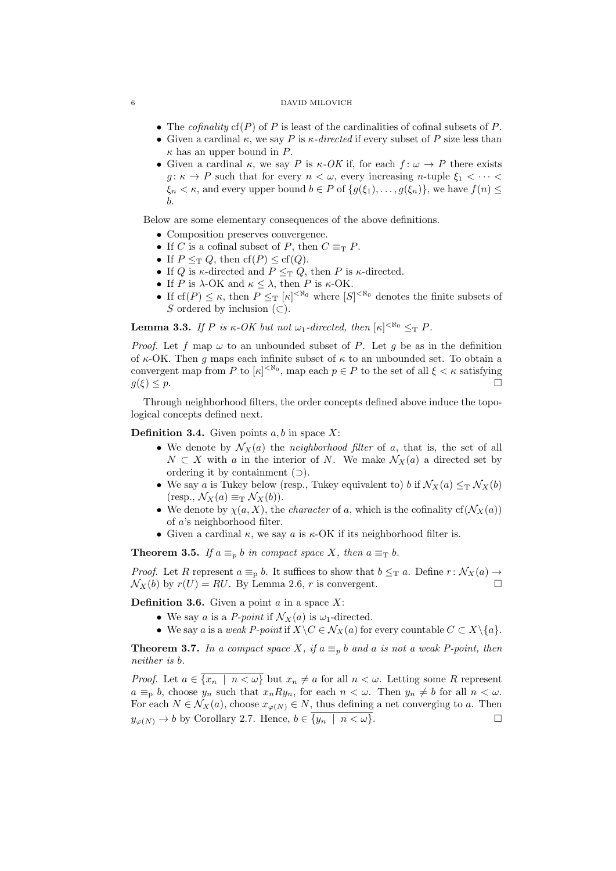- The *cofinality*  $cf(P)$  of P is least of the cardinalities of cofinal subsets of P.
- Given a cardinal  $\kappa$ , we say P is  $\kappa$ -directed if every subset of P size less than  $\kappa$  has an upper bound in P.
- Given a cardinal  $\kappa$ , we say P is  $\kappa$ -OK if, for each  $f: \omega \to P$  there exists  $g: \kappa \to P$  such that for every  $n < \omega$ , every increasing n-tuple  $\xi_1 < \cdots < \xi_n$  $\xi_n < \kappa$ , and every upper bound  $b \in P$  of  $\{g(\xi_1), \ldots, g(\xi_n)\}\)$ , we have  $f(n) \leq$ b.

Below are some elementary consequences of the above definitions.

- Composition preserves convergence.
- If C is a cofinal subset of P, then  $C \equiv_T P$ .
- If  $P \leq_T Q$ , then  $cf(P) \leq cf(Q)$ .
- If  $Q$  is  $\kappa$ -directed and  $P \leq_{\mathrm{T}} Q$ , then  $P$  is  $\kappa$ -directed.
- If P is  $\lambda$ -OK and  $\kappa \leq \lambda$ , then P is  $\kappa$ -OK.
- If  $cf(P) \leq \kappa$ , then  $P \leq_T [\kappa]^{<\aleph_0}$  where  $[S]^{<\aleph_0}$  denotes the finite subsets of S ordered by inclusion  $(\subset)$ .

**Lemma 3.3.** If P is  $\kappa$ -OK but not  $\omega_1$ -directed, then  $[\kappa]^{<\aleph_0} \leq_T P$ .

*Proof.* Let f map  $\omega$  to an unbounded subset of P. Let q be as in the definition of  $\kappa$ -OK. Then q maps each infinite subset of  $\kappa$  to an unbounded set. To obtain a convergent map from P to  $|\kappa|^{< \aleph_0}$ , map each  $p \in P$  to the set of all  $\xi < \kappa$  satisfying  $g(\xi) \leq p.$ 

Through neighborhood filters, the order concepts defined above induce the topological concepts defined next.

**Definition 3.4.** Given points  $a, b$  in space X:

- We denote by  $\mathcal{N}_X(a)$  the neighborhood filter of a, that is, the set of all  $N \subset X$  with a in the interior of N. We make  $\mathcal{N}_X(a)$  a directed set by ordering it by containment  $($
- We say a is Tukey below (resp., Tukey equivalent to) b if  $\mathcal{N}_X(a) \leq_T \mathcal{N}_X(b)$  $(\text{resp., } \mathcal{N}_X(a) \equiv_\text{T} \mathcal{N}_X(b)).$
- We denote by  $\chi(a, X)$ , the *character* of a, which is the cofinality cf( $\mathcal{N}_X(a)$ ) of a's neighborhood filter.
- Given a cardinal  $\kappa$ , we say a is  $\kappa$ -OK if its neighborhood filter is.

**Theorem 3.5.** If  $a \equiv_p b$  in compact space X, then  $a \equiv_T b$ .

*Proof.* Let R represent  $a \equiv_p b$ . It suffices to show that  $b \leq_T a$ . Define  $r : \mathcal{N}_X(a) \to$  $\mathcal{N}_X(b)$  by  $r(U) = RU$ . By Lemma 2.6, r is convergent.

**Definition 3.6.** Given a point  $a$  in a space  $X$ :

- We say a is a *P-point* if  $\mathcal{N}_X(a)$  is  $\omega_1$ -directed.
- We say a is a weak P-point if  $X\backslash C \in \mathcal{N}_X(a)$  for every countable  $C \subset X\backslash \{a\}$ .

**Theorem 3.7.** In a compact space X, if  $a \equiv_p b$  and a is not a weak P-point, then neither is b.

*Proof.* Let  $a \in \overline{\{x_n \mid n \lt \omega\}}$  but  $x_n \neq a$  for all  $n \lt \omega$ . Letting some R represent  $a \equiv_p b$ , choose  $y_n$  such that  $x_n R y_n$ , for each  $n < \omega$ . Then  $y_n \neq b$  for all  $n < \omega$ . For each  $N \in \mathcal{N}_X(a)$ , choose  $x_{\varphi(N)} \in N$ , thus defining a net converging to a. Then  $y_{\varphi(N)} \to b$  by Corollary 2.7. Hence,  $b \in \overline{\{y_n \mid n \lt \omega\}}$ .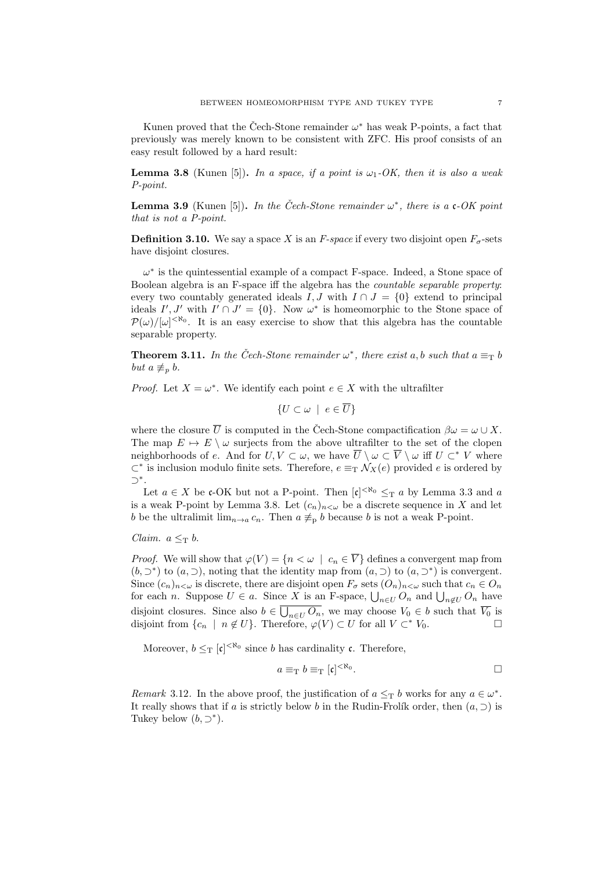Kunen proved that the Čech-Stone remainder  $\omega^*$  has weak P-points, a fact that previously was merely known to be consistent with ZFC. His proof consists of an easy result followed by a hard result:

**Lemma 3.8** (Kunen [5]). In a space, if a point is  $\omega_1$ -OK, then it is also a weak P-point.

**Lemma 3.9** (Kunen [5]). In the Čech-Stone remainder  $\omega^*$ , there is a c-OK point that is not a P-point.

**Definition 3.10.** We say a space X is an F-space if every two disjoint open  $F_{\sigma}$ -sets have disjoint closures.

 $\omega^*$  is the quintessential example of a compact F-space. Indeed, a Stone space of Boolean algebra is an F-space iff the algebra has the countable separable property: every two countably generated ideals  $I, J$  with  $I \cap J = \{0\}$  extend to principal ideals  $I', J'$  with  $I' \cap J' = \{0\}$ . Now  $\omega^*$  is homeomorphic to the Stone space of  $\mathcal{P}(\omega)/[\omega]^{<\aleph_0}$ . It is an easy exercise to show that this algebra has the countable separable property.

**Theorem 3.11.** In the Čech-Stone remainder  $\omega^*$ , there exist a, b such that  $a \equiv_T b$ but  $a \not\equiv_p b$ .

*Proof.* Let  $X = \omega^*$ . We identify each point  $e \in X$  with the ultrafilter

$$
\{U \subset \omega \mid e \in \overline{U}\}\
$$

where the closure  $\overline{U}$  is computed in the Cech-Stone compactification  $\beta\omega = \omega \cup X$ . The map  $E \mapsto E \setminus \omega$  surjects from the above ultrafilter to the set of the clopen neighborhoods of e. And for  $U, V \subset \omega$ , we have  $\overline{U} \setminus \omega \subset \overline{V} \setminus \omega$  iff  $U \subset^* V$  where  $\subset^*$  is inclusion modulo finite sets. Therefore,  $e \equiv_\text{T} \mathcal{N}_X(e)$  provided e is ordered by ⊃<sup>∗</sup> .

Let  $a \in X$  be c-OK but not a P-point. Then  $[c]^{< \aleph_0} \leq_T a$  by Lemma 3.3 and a is a weak P-point by Lemma 3.8. Let  $(c_n)_{n<\omega}$  be a discrete sequence in X and let b be the ultralimit  $\lim_{n\to a} c_n$ . Then  $a \neq_p b$  because b is not a weak P-point.

Claim.  $a \leq_{\text{T}} b$ .

*Proof.* We will show that  $\varphi(V) = \{n < \omega \mid c_n \in \overline{V}\}\)$  defines a convergent map from  $(b, \supset^*)$  to  $(a, \supset)$ , noting that the identity map from  $(a, \supset)$  to  $(a, \supset^*)$  is convergent. Since  $(c_n)_{n<\omega}$  is discrete, there are disjoint open  $F_{\sigma}$  sets  $(O_n)_{n<\omega}$  such that  $c_n \in O_n$ for each *n*. Suppose  $U \in a$ . Since X is an F-space,  $\bigcup_{n \in U} O_n$  and  $\bigcup_{n \notin U} O_n$  have disjoint closures. Since also  $b \in \bigcup_{n \in U} O_n$ , we may choose  $V_0 \in b$  such that  $\overline{V_0}$  is disjoint from  $\{c_n \mid n \notin U\}$ . Therefore,  $\varphi(V) \subset U$  for all  $V \subset^* V_0$ .

Moreover,  $b \leq_T [\mathfrak{c}]^{< \aleph_0}$  since b has cardinality  $\mathfrak{c}$ . Therefore,

$$
a \equiv_{\mathrm{T}} b \equiv_{\mathrm{T}} [\mathfrak{c}]^{< \aleph_0}.
$$

Remark 3.12. In the above proof, the justification of  $a \leq_T b$  works for any  $a \in \omega^*$ . It really shows that if a is strictly below b in the Rudin-Frolík order, then  $(a, \supset)$  is Tukey below  $(b, \supset^*)$ .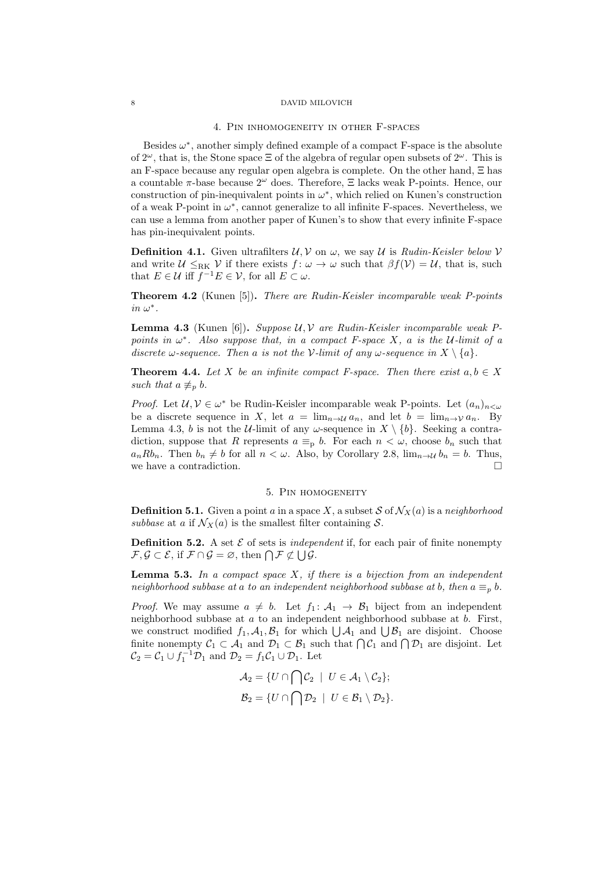#### 4. Pin inhomogeneity in other F-spaces

Besides  $\omega^*$ , another simply defined example of a compact F-space is the absolute of  $2^{\omega}$ , that is, the Stone space  $\Xi$  of the algebra of regular open subsets of  $2^{\omega}$ . This is an F-space because any regular open algebra is complete. On the other hand, Ξ has a countable  $\pi$ -base because  $2^{\omega}$  does. Therefore,  $\Xi$  lacks weak P-points. Hence, our construction of pin-inequivalent points in  $\omega^*$ , which relied on Kunen's construction of a weak P-point in  $\omega^*$ , cannot generalize to all infinite F-spaces. Nevertheless, we can use a lemma from another paper of Kunen's to show that every infinite F-space has pin-inequivalent points.

**Definition 4.1.** Given ultrafilters  $U, V$  on  $\omega$ , we say U is Rudin-Keisler below V and write  $\mathcal{U} \leq_{\rm RK} \mathcal{V}$  if there exists  $f: \omega \to \omega$  such that  $\beta f(\mathcal{V}) = \mathcal{U}$ , that is, such that  $E \in \mathcal{U}$  iff  $f^{-1}E \in \mathcal{V}$ , for all  $E \subset \omega$ .

Theorem 4.2 (Kunen [5]). There are Rudin-Keisler incomparable weak P-points  $in \omega^*$ .

**Lemma 4.3** (Kunen [6]). Suppose  $U, V$  are Rudin-Keisler incomparable weak Ppoints in  $\omega^*$ . Also suppose that, in a compact F-space X, a is the U-limit of a discrete  $\omega$ -sequence. Then a is not the V-limit of any  $\omega$ -sequence in  $X \setminus \{a\}$ .

**Theorem 4.4.** Let X be an infinite compact F-space. Then there exist  $a, b \in X$ such that  $a \not\equiv_p b$ .

*Proof.* Let  $\mathcal{U}, \mathcal{V} \in \omega^*$  be Rudin-Keisler incomparable weak P-points. Let  $(a_n)_{n < \omega}$ be a discrete sequence in X, let  $a = \lim_{n \to \mathcal{U}} a_n$ , and let  $b = \lim_{n \to \mathcal{V}} a_n$ . By Lemma 4.3, b is not the U-limit of any  $\omega$ -sequence in  $X \setminus \{b\}$ . Seeking a contradiction, suppose that R represents  $a \equiv_p b$ . For each  $n < \omega$ , choose  $b_n$  such that  $a_n R b_n$ . Then  $b_n \neq b$  for all  $n < \omega$ . Also, by Corollary 2.8,  $\lim_{n \to \mathcal{U}} b_n = b$ . Thus, we have a contradiction.  $\Box$ 

## 5. Pin homogeneity

**Definition 5.1.** Given a point a in a space X, a subset S of  $\mathcal{N}_X(a)$  is a neighborhood subbase at a if  $\mathcal{N}_X(a)$  is the smallest filter containing S.

**Definition 5.2.** A set  $\mathcal{E}$  of sets is *independent* if, for each pair of finite nonempty  $\mathcal{F}, \mathcal{G} \subset \mathcal{E}$ , if  $\mathcal{F} \cap \mathcal{G} = \varnothing$ , then  $\bigcap \mathcal{F} \not\subset \bigcup \mathcal{G}$ .

**Lemma 5.3.** In a compact space  $X$ , if there is a bijection from an independent neighborhood subbase at a to an independent neighborhood subbase at b, then  $a \equiv_p b$ .

*Proof.* We may assume  $a \neq b$ . Let  $f_1: \mathcal{A}_1 \rightarrow \mathcal{B}_1$  biject from an independent neighborhood subbase at  $a$  to an independent neighborhood subbase at  $b$ . First, we construct modified  $f_1$ ,  $A_1$ ,  $B_1$  for which  $\bigcup A_1$  and  $\bigcup B_1$  are disjoint. Choose finite nonempty  $C_1 \subset A_1$  and  $D_1 \subset B_1$  such that  $\bigcap C_1$  and  $\bigcap D_1$  are disjoint. Let  $\mathcal{C}_2 = \mathcal{C}_1 \cup f_1^{-1} \mathcal{D}_1$  and  $\mathcal{D}_2 = f_1 \mathcal{C}_1 \cup \mathcal{D}_1$ . Let

$$
\mathcal{A}_2 = \{ U \cap \bigcap \mathcal{C}_2 \mid U \in \mathcal{A}_1 \setminus \mathcal{C}_2 \};
$$
  

$$
\mathcal{B}_2 = \{ U \cap \bigcap \mathcal{D}_2 \mid U \in \mathcal{B}_1 \setminus \mathcal{D}_2 \}.
$$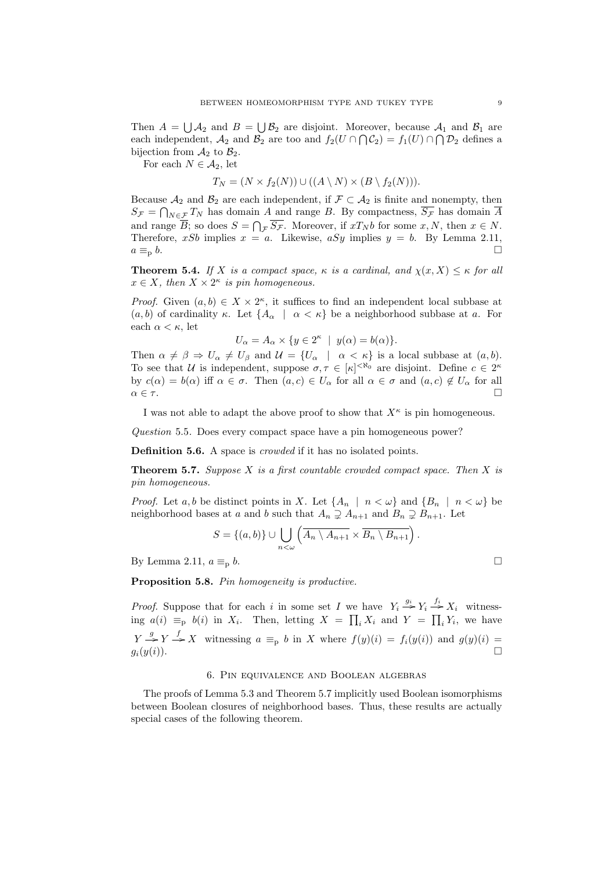Then  $A = \bigcup A_2$  and  $B = \bigcup B_2$  are disjoint. Moreover, because  $A_1$  and  $B_1$  are each independent,  $\mathcal{A}_2$  and  $\mathcal{B}_2$  are too and  $f_2(U \cap \bigcap \mathcal{C}_2) = f_1(U) \cap \bigcap \mathcal{D}_2$  defines a bijection from  $A_2$  to  $B_2$ .

For each  $N \in \mathcal{A}_2$ , let

$$
T_N = (N \times f_2(N)) \cup ((A \setminus N) \times (B \setminus f_2(N))).
$$

Because  $\mathcal{A}_2$  and  $\mathcal{B}_2$  are each independent, if  $\mathcal{F} \subset \mathcal{A}_2$  is finite and nonempty, then  $S_{\mathcal{F}} = \bigcap_{N \in \mathcal{F}} T_N$  has domain A and range B. By compactness,  $\overline{S_{\mathcal{F}}}$  has domain  $\overline{A}$ and range B; so does  $S = \bigcap_{\mathcal{F}} S_{\mathcal{F}}$ . Moreover, if  $xT_N b$  for some  $x, N$ , then  $x \in N$ . Therefore, xSb implies  $x = a$ . Likewise,  $aSy$  implies  $y = b$ . By Lemma 2.11,  $a \equiv_{\rm p} b$ .

**Theorem 5.4.** If X is a compact space,  $\kappa$  is a cardinal, and  $\chi(x, X) \leq \kappa$  for all  $x \in X$ , then  $X \times 2^{\kappa}$  is pin homogeneous.

*Proof.* Given  $(a, b) \in X \times 2^{\kappa}$ , it suffices to find an independent local subbase at  $(a, b)$  of cardinality κ. Let  $\{A_\alpha \mid \alpha < \kappa\}$  be a neighborhood subbase at a. For each  $\alpha < \kappa$ , let

$$
U_{\alpha} = A_{\alpha} \times \{ y \in 2^{\kappa} \mid y(\alpha) = b(\alpha) \}.
$$

Then  $\alpha \neq \beta \Rightarrow U_{\alpha} \neq U_{\beta}$  and  $\mathcal{U} = \{U_{\alpha} \mid \alpha < \kappa\}$  is a local subbase at  $(a, b)$ . To see that U is independent, suppose  $\sigma, \tau \in [\kappa]^{<\aleph_0}$  are disjoint. Define  $c \in 2^{\kappa}$ by  $c(\alpha) = b(\alpha)$  iff  $\alpha \in \sigma$ . Then  $(a, c) \in U_\alpha$  for all  $\alpha \in \sigma$  and  $(a, c) \notin U_\alpha$  for all  $\alpha \in \tau$ .

I was not able to adapt the above proof to show that  $X^{\kappa}$  is pin homogeneous.

Question 5.5. Does every compact space have a pin homogeneous power?

Definition 5.6. A space is *crowded* if it has no isolated points.

**Theorem 5.7.** Suppose X is a first countable crowded compact space. Then X is pin homogeneous.

*Proof.* Let a, b be distinct points in X. Let  $\{A_n \mid n \lt \omega\}$  and  $\{B_n \mid n \lt \omega\}$  be neighborhood bases at a and b such that  $A_n \supsetneq A_{n+1}$  and  $B_n \supsetneq B_{n+1}$ . Let

$$
S = \{(a, b)\} \cup \bigcup_{n < \omega} \left( \overline{A_n \setminus A_{n+1}} \times \overline{B_n \setminus B_{n+1}} \right).
$$

By Lemma 2.11,  $a \equiv_p b$ .

Proposition 5.8. Pin homogeneity is productive.

*Proof.* Suppose that for each i in some set I we have  $Y_i \stackrel{g_i}{\rightarrow} Y_i \stackrel{f_i}{\rightarrow} X_i$  witnessing  $a(i) \equiv_p b(i)$  in  $X_i$ . Then, letting  $X = \prod_i X_i$  and  $Y = \prod_i Y_i$ , we have  $Y \stackrel{g}{\rightarrow} Y \stackrel{f}{\rightarrow} X$  witnessing  $a \equiv_p b$  in X where  $f(y)(i) = f_i(y(i))$  and  $g(y)(i) =$  $g_i(y(i))$ .

# 6. Pin equivalence and Boolean algebras

The proofs of Lemma 5.3 and Theorem 5.7 implicitly used Boolean isomorphisms between Boolean closures of neighborhood bases. Thus, these results are actually special cases of the following theorem.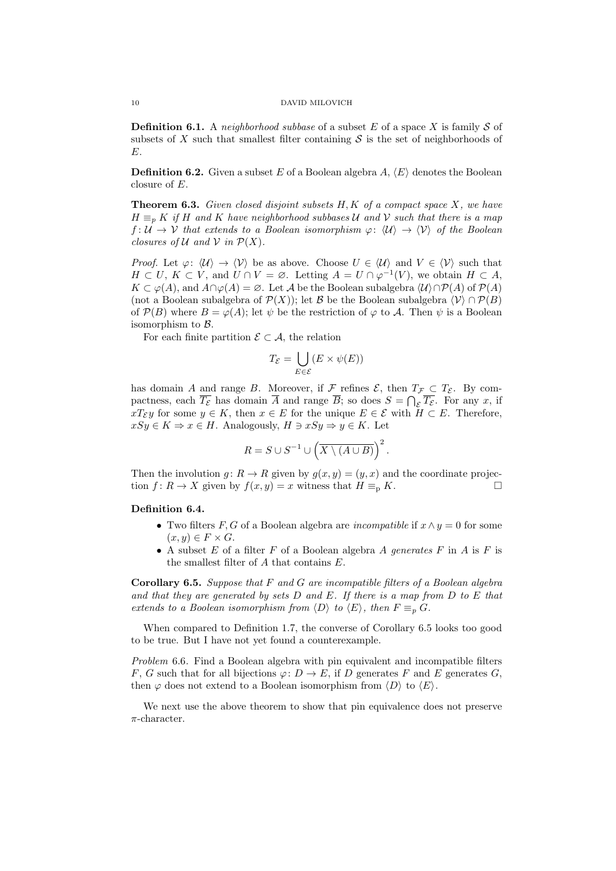**Definition 6.1.** A *neighborhood subbase* of a subset E of a space X is family S of subsets of X such that smallest filter containing  $\mathcal S$  is the set of neighborhoods of E.

**Definition 6.2.** Given a subset E of a Boolean algebra  $A, \langle E \rangle$  denotes the Boolean closure of E.

**Theorem 6.3.** Given closed disjoint subsets  $H, K$  of a compact space  $X$ , we have  $H \equiv_p K$  if H and K have neighborhood subbases U and V such that there is a map  $f: U \to V$  that extends to a Boolean isomorphism  $\varphi: \langle U \rangle \to \langle V \rangle$  of the Boolean closures of U and V in  $\mathcal{P}(X)$ .

*Proof.* Let  $\varphi: \langle \mathcal{U} \rangle \to \langle \mathcal{V} \rangle$  be as above. Choose  $U \in \langle \mathcal{U} \rangle$  and  $V \in \langle \mathcal{V} \rangle$  such that  $H \subset U, K \subset V$ , and  $U \cap V = \emptyset$ . Letting  $A = U \cap \varphi^{-1}(V)$ , we obtain  $H \subset A$ ,  $K \subset \varphi(A)$ , and  $A \cap \varphi(A) = \varnothing$ . Let A be the Boolean subalgebra  $\langle \mathcal{U} \rangle \cap \mathcal{P}(A)$  of  $\mathcal{P}(A)$ (not a Boolean subalgebra of  $\mathcal{P}(X)$ ); let B be the Boolean subalgebra  $\langle \mathcal{V} \rangle \cap \mathcal{P}(B)$ of  $\mathcal{P}(B)$  where  $B = \varphi(A)$ ; let  $\psi$  be the restriction of  $\varphi$  to A. Then  $\psi$  is a Boolean isomorphism to  $\beta$ .

For each finite partition  $\mathcal{E} \subset \mathcal{A}$ , the relation

$$
T_{\mathcal{E}} = \bigcup_{E \in \mathcal{E}} (E \times \psi(E))
$$

has domain A and range B. Moreover, if F refines  $\mathcal{E}$ , then  $T_{\mathcal{F}} \subset T_{\mathcal{E}}$ . By compactness, each  $\overline{T_{\mathcal{E}}}$  has domain  $\overline{A}$  and range  $\overline{B}$ ; so does  $S = \bigcap_{\mathcal{E}} \overline{T_{\mathcal{E}}}$ . For any x, if  $xT_{\mathcal{E}}y$  for some  $y \in K$ , then  $x \in E$  for the unique  $E \in \mathcal{E}$  with  $H \subset E$ . Therefore,  $xSy \in K \Rightarrow x \in H$ . Analogously,  $H \ni xSy \Rightarrow y \in K$ . Let

$$
R = S \cup S^{-1} \cup \left(\overline{X \setminus (A \cup B)}\right)^2.
$$

Then the involution  $g: R \to R$  given by  $g(x, y) = (y, x)$  and the coordinate projection  $f: R \to X$  given by  $f(x, y) = x$  witness that  $H \equiv_{p} K$ .

# Definition 6.4.

- Two filters  $F, G$  of a Boolean algebra are *incompatible* if  $x \wedge y = 0$  for some  $(x, y) \in F \times G$ .
- A subset E of a filter F of a Boolean algebra A generates F in A is F is the smallest filter of A that contains E.

**Corollary 6.5.** Suppose that  $F$  and  $G$  are incompatible filters of a Boolean algebra and that they are generated by sets  $D$  and  $E$ . If there is a map from  $D$  to  $E$  that extends to a Boolean isomorphism from  $\langle D \rangle$  to  $\langle E \rangle$ , then  $F \equiv_p G$ .

When compared to Definition 1.7, the converse of Corollary 6.5 looks too good to be true. But I have not yet found a counterexample.

Problem 6.6. Find a Boolean algebra with pin equivalent and incompatible filters F, G such that for all bijections  $\varphi: D \to E$ , if D generates F and E generates G, then  $\varphi$  does not extend to a Boolean isomorphism from  $\langle D \rangle$  to  $\langle E \rangle$ .

We next use the above theorem to show that pin equivalence does not preserve  $\pi$ -character.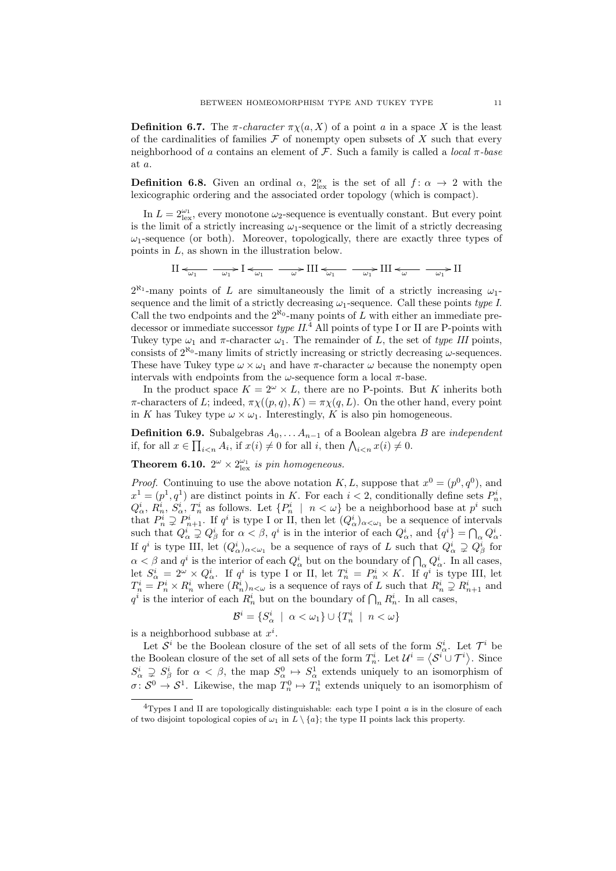**Definition 6.7.** The  $\pi$ -character  $\pi \chi(a, X)$  of a point a in a space X is the least of the cardinalities of families  $\mathcal F$  of nonempty open subsets of X such that every neighborhood of a contains an element of  $\mathcal F$ . Such a family is called a *local*  $\pi$ -base at a.

**Definition 6.8.** Given an ordinal  $\alpha$ ,  $2_{\text{lex}}^{\alpha}$  is the set of all  $f: \alpha \to 2$  with the lexicographic ordering and the associated order topology (which is compact).

In  $L = 2_{\text{lex}}^{\omega_1}$ , every monotone  $\omega_2$ -sequence is eventually constant. But every point is the limit of a strictly increasing  $\omega_1$ -sequence or the limit of a strictly decreasing  $\omega_1$ -sequence (or both). Moreover, topologically, there are exactly three types of points in L, as shown in the illustration below.

$$
\text{II} \leftarrow_{\omega_1} \quad \text{I} \leftarrow_{\omega_1} \quad \text{I} \leftarrow_{\omega_1} \quad \text{I} \quad \text{II} \leftarrow_{\omega_1} \quad \text{II} \leftarrow_{\omega_1} \quad \text{II} \leftarrow_{\omega} \quad \text{I} \quad \text{II}
$$

 $2^{\aleph_1}$ -many points of L are simultaneously the limit of a strictly increasing  $\omega_1$ sequence and the limit of a strictly decreasing  $\omega_1$ -sequence. Call these points type I. Call the two endpoints and the  $2^{\aleph_0}$ -many points of L with either an immediate predecessor or immediate successor  $type\;II.^4$  All points of type I or II are P-points with Tukey type  $\omega_1$  and  $\pi$ -character  $\omega_1$ . The remainder of L, the set of type III points, consists of  $2^{\aleph_0}$ -many limits of strictly increasing or strictly decreasing  $\omega$ -sequences. These have Tukey type  $\omega \times \omega_1$  and have  $\pi$ -character  $\omega$  because the nonempty open intervals with endpoints from the  $\omega$ -sequence form a local  $\pi$ -base.

In the product space  $K = 2^{\omega} \times L$ , there are no P-points. But K inherits both  $\pi$ -characters of L; indeed,  $\pi \chi((p,q), K) = \pi \chi(q, L)$ . On the other hand, every point in K has Tukey type  $\omega \times \omega_1$ . Interestingly, K is also pin homogeneous.

**Definition 6.9.** Subalgebras  $A_0, \ldots, A_{n-1}$  of a Boolean algebra B are *independent* if, for all  $x \in \prod_{i \leq n} A_i$ , if  $x(i) \neq 0$  for all i, then  $\bigwedge_{i \leq n} x(i) \neq 0$ .

**Theorem 6.10.**  $2^{\omega} \times 2_{\text{lex}}^{\omega_1}$  is pin homogeneous.

*Proof.* Continuing to use the above notation K, L, suppose that  $x^0 = (p^0, q^0)$ , and  $x^1 = (p^1, q^1)$  are distinct points in K. For each  $i < 2$ , conditionally define sets  $P_n^i$ ,  $Q^i_\alpha$ ,  $R^i_n$ ,  $S^i_\alpha$ ,  $T^i_n$  as follows. Let  $\{P^i_n \mid n < \omega\}$  be a neighborhood base at  $p^i$  such that  $P_n^i \supsetneq P_{n+1}^i$ . If  $q^i$  is type I or II, then let  $(Q_\alpha^i)_{\alpha<\omega_1}$  be a sequence of intervals such that  $Q^i_\alpha \supsetneq Q^i_\beta$  for  $\alpha < \beta$ ,  $q^i$  is in the interior of each  $Q^i_\alpha$ , and  $\{q^i\} = \bigcap_\alpha Q^i_\alpha$ . If  $q^i$  is type III, let  $(Q^i_\alpha)_{\alpha<\omega_1}$  be a sequence of rays of L such that  $Q^i_\alpha \supsetneq Q^i_\beta$  for  $\alpha < \beta$  and  $q^i$  is the interior of each  $Q^i_\alpha$  but on the boundary of  $\bigcap_\alpha Q^i_\alpha$ . In all cases, let  $S^i_\alpha = 2^\omega \times Q^i_\alpha$ . If  $q^i$  is type I or II, let  $T^i_n = P^i_n \times K$ . If  $q^i$  is type III, let  $T_n^i = P_n^i \times R_n^i$  where  $(R_n^i)_{n < \omega}$  is a sequence of rays of L such that  $R_n^i \supsetneq R_{n+1}^i$  and  $q^i$  is the interior of each  $R_n^i$  but on the boundary of  $\bigcap_n R_n^i$ . In all cases,

$$
\mathcal{B}^i = \{ S^i_\alpha \mid \alpha < \omega_1 \} \cup \{ T^i_n \mid n < \omega \}
$$

is a neighborhood subbase at  $x^i$ .

Let  $\mathcal{S}^i$  be the Boolean closure of the set of all sets of the form  $S^i_\alpha$ . Let  $\mathcal{T}^i$  be the Boolean closure of the set of all sets of the form  $T_n^i$ . Let  $\mathcal{U}^i = \langle \mathcal{S}^i \cup \mathcal{T}^i \rangle$ . Since  $S^i_\alpha \supsetneq S^i_\beta$  for  $\alpha < \beta$ , the map  $S^0_\alpha \mapsto S^1_\alpha$  extends uniquely to an isomorphism of  $\sigma: S^0 \to S^1$ . Likewise, the map  $T_n^0 \mapsto T_n^1$  extends uniquely to an isomorphism of

<sup>&</sup>lt;sup>4</sup>Types I and II are topologically distinguishable: each type I point  $\alpha$  is in the closure of each of two disjoint topological copies of  $\omega_1$  in  $L \setminus \{a\}$ ; the type II points lack this property.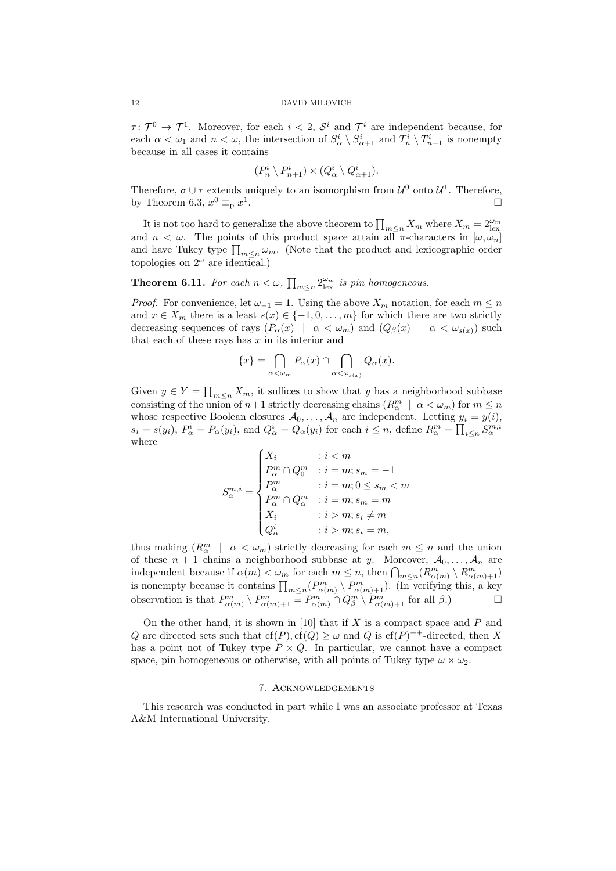$\tau: \mathcal{T}^0 \to \mathcal{T}^1$ . Moreover, for each  $i < 2$ ,  $\mathcal{S}^i$  and  $\mathcal{T}^i$  are independent because, for each  $\alpha < \omega_1$  and  $n < \omega$ , the intersection of  $S^i_\alpha \setminus S^i_{\alpha+1}$  and  $T^i_n \setminus T^i_{n+1}$  is nonempty because in all cases it contains

$$
(P_n^i \setminus P_{n+1}^i) \times (Q_\alpha^i \setminus Q_{\alpha+1}^i).
$$

Therefore,  $\sigma \cup \tau$  extends uniquely to an isomorphism from  $\mathcal{U}^0$  onto  $\mathcal{U}^1$ . Therefore, by Theorem 6.3,  $x^0 \equiv_{\text{p}} x^1$ .

It is not too hard to generalize the above theorem to  $\prod_{m\leq n} X_m$  where  $X_m = 2^{\omega_m}_{\text{lex}}$ and  $n < \omega$ . The points of this product space attain all  $\pi$ -characters in  $[\omega, \omega_n]$ and have Tukey type  $\prod_{m \leq n} \omega_m$ . (Note that the product and lexicographic order topologies on  $2^{\omega}$  are identical.)

**Theorem 6.11.** For each  $n < \omega$ ,  $\prod_{m \leq n} 2^{\omega_m}_{\text{lex}}$  is pin homogeneous.

*Proof.* For convenience, let  $\omega_{-1} = 1$ . Using the above  $X_m$  notation, for each  $m \leq n$ and  $x \in X_m$  there is a least  $s(x) \in \{-1, 0, \ldots, m\}$  for which there are two strictly decreasing sequences of rays  $(P_\alpha(x) \mid \alpha < \omega_m)$  and  $(Q_\beta(x) \mid \alpha < \omega_{s(x)})$  such that each of these rays has  $x$  in its interior and

$$
\{x\} = \bigcap_{\alpha < \omega_m} P_{\alpha}(x) \cap \bigcap_{\alpha < \omega_{s(x)}} Q_{\alpha}(x).
$$

Given  $y \in Y = \prod_{m \leq n} X_m$ , it suffices to show that y has a neighborhood subbase consisting of the union of  $n+1$  strictly decreasing chains  $(R_\alpha^m \mid \alpha < \omega_m)$  for  $m \le n$ whose respective Boolean closures  $A_0, \ldots, A_n$  are independent. Letting  $y_i = y(i)$ ,  $s_i = s(y_i)$ ,  $P^i_\alpha = P_\alpha(y_i)$ , and  $Q^i_\alpha = Q_\alpha(y_i)$  for each  $i \leq n$ , define  $R^m_\alpha = \prod_{i \leq n} S^{m,i}_\alpha$ where

$$
S_{\alpha}^{m,i} = \begin{cases} X_i & : i < m \\ P_{\alpha}^m \cap Q_0^m & : i = m; s_m = -1 \\ P_{\alpha}^m & : i = m; 0 \le s_m < m \\ P_{\alpha}^m \cap Q_{\alpha}^m & : i = m; s_m = m \\ X_i & : i > m; s_i \neq m \\ Q_{\alpha}^i & : i > m; s_i = m, \end{cases}
$$

thus making  $(R_\alpha^m \mid \alpha < \omega_m)$  strictly decreasing for each  $m \leq n$  and the union of these  $n + 1$  chains a neighborhood subbase at y. Moreover,  $A_0, \ldots, A_n$  are independent because if  $\alpha(m) < \omega_m$  for each  $m \leq n$ , then  $\bigcap_{m \leq n} (R^m_{\alpha(m)} \setminus R^m_{\alpha(m)+1})$ is nonempty because it contains  $\prod_{m\leq n}(P^m_{\alpha(m)}\setminus P^m_{\alpha(m)+1})$ . (In verifying this, a key observation is that  $P_{\alpha(m)}^m \setminus P_{\alpha(m)+1}^m = P_{\alpha(m)}^m \cap Q_{\beta}^m \setminus P_{\alpha(m)+1}^m$  for all  $\beta$ .

On the other hand, it is shown in [10] that if X is a compact space and  $P$  and Q are directed sets such that  $cf(P), cf(Q) \geq \omega$  and Q is  $cf(P)^{++}$ -directed, then X has a point not of Tukey type  $P \times Q$ . In particular, we cannot have a compact space, pin homogeneous or otherwise, with all points of Tukey type  $\omega \times \omega_2$ .

# 7. Acknowledgements

This research was conducted in part while I was an associate professor at Texas A&M International University.